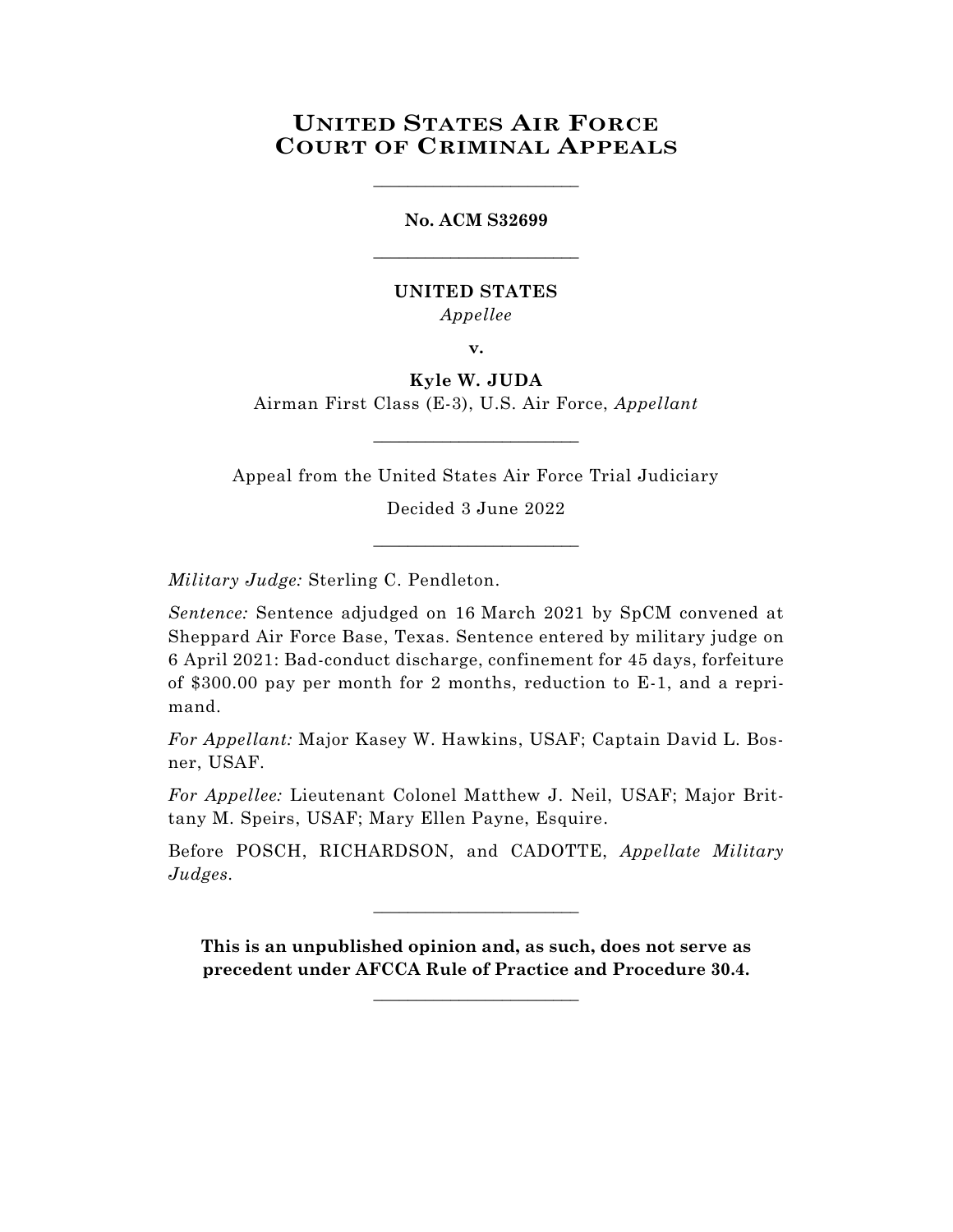## **UNITED STATES AIR FORCE COURT OF CRIMINAL APPEALS**

\_\_\_\_\_\_\_\_\_\_\_\_\_\_\_\_\_\_\_\_\_\_\_\_

# **No. ACM S32699** \_\_\_\_\_\_\_\_\_\_\_\_\_\_\_\_\_\_\_\_\_\_\_\_

#### **UNITED STATES** *Appellee*

**v.**

#### **Kyle W. JUDA**

Airman First Class (E-3), U.S. Air Force, *Appellant* \_\_\_\_\_\_\_\_\_\_\_\_\_\_\_\_\_\_\_\_\_\_\_\_

Appeal from the United States Air Force Trial Judiciary

Decided 3 June 2022 \_\_\_\_\_\_\_\_\_\_\_\_\_\_\_\_\_\_\_\_\_\_\_\_

*Military Judge:* Sterling C. Pendleton.

*Sentence:* Sentence adjudged on 16 March 2021 by SpCM convened at Sheppard Air Force Base, Texas. Sentence entered by military judge on 6 April 2021: Bad-conduct discharge, confinement for 45 days, forfeiture of \$300.00 pay per month for 2 months, reduction to E-1, and a reprimand.

*For Appellant:* Major Kasey W. Hawkins, USAF; Captain David L. Bosner, USAF.

*For Appellee:* Lieutenant Colonel Matthew J. Neil, USAF; Major Brittany M. Speirs, USAF; Mary Ellen Payne, Esquire.

Before POSCH, RICHARDSON, and CADOTTE, *Appellate Military Judges.*

\_\_\_\_\_\_\_\_\_\_\_\_\_\_\_\_\_\_\_\_\_\_\_\_

**This is an unpublished opinion and, as such, does not serve as precedent under AFCCA Rule of Practice and Procedure 30.4.**

**\_\_\_\_\_\_\_\_\_\_\_\_\_\_\_\_\_\_\_\_\_\_\_\_**